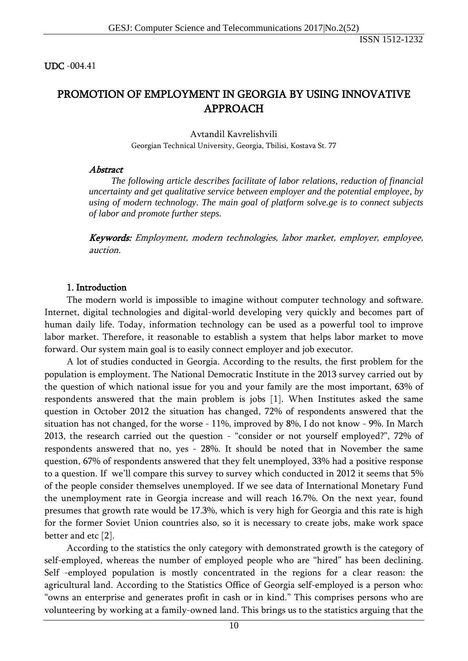### UDC -004.41

# PROMOTION OF EMPLOYMENT IN GEORGIA BY USING INNOVATIVE APPROACH

Avtandil Kavrelishvili Georgian Technical University, Georgia, Tbilisi, Kostava St. 77

## Abstract

*The following article describes facilitate of labor relations, reduction of financial uncertainty and get qualitative service between employer and the potential employee, by using of modern technology. The main goal of platform solve.ge is to connect subjects of labor and promote further steps.*

Keywords: Employment, modern technologies, labor market, employer, employee, auction.

## 1. Introduction

The modern world is impossible to imagine without computer technology and software. Internet, digital technologies and digital-world developing very quickly and becomes part of human daily life. Today, information technology can be used as a powerful tool to improve labor market. Therefore, it reasonable to establish a system that helps labor market to move forward. Our system main goal is to easily connect employer and job executor.

A lot of studies conducted in Georgia. According to the results, the first problem for the population is employment. The National Democratic Institute in the 2013 survey carried out by the question of which national issue for you and your family are the most important, 63% of respondents answered that the main problem is jobs [1]. When Institutes asked the same question in October 2012 the situation has changed, 72% of respondents answered that the situation has not changed, for the worse - 11%, improved by 8%, I do not know - 9%. In March 2013, the research carried out the question - "consider or not yourself employed?", 72% of respondents answered that no, yes - 28%. It should be noted that in November the same question, 67% of respondents answered that they felt unemployed, 33% had a positive response to a question. If we'll compare this survey to survey which conducted in 2012 it seems that 5% of the people consider themselves unemployed. If we see data of International Monetary Fund the unemployment rate in Georgia increase and will reach 16.7%. On the next year, found presumes that growth rate would be 17.3%, which is very high for Georgia and this rate is high for the former Soviet Union countries also, so it is necessary to create jobs, make work space better and etc [2].

According to the statistics the only category with demonstrated growth is the category of self-employed, whereas the number of employed people who are "hired" has been declining. Self -employed population is mostly concentrated in the regions for a clear reason: the agricultural land. According to the Statistics Office of Georgia self-employed is a person who: "owns an enterprise and generates profit in cash or in kind." This comprises persons who are volunteering by working at a family-owned land. This brings us to the statistics arguing that the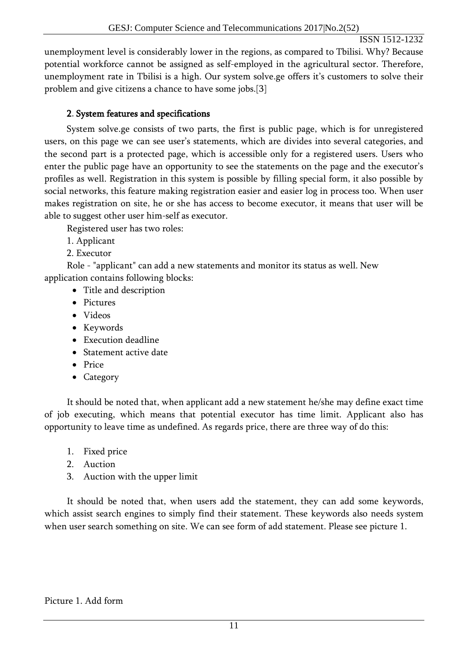# ISSN 1512-1232

unemployment level is considerably lower in the regions, as compared to Tbilisi. Why? Because potential workforce cannot be assigned as self-employed in the agricultural sector. Therefore, unemployment rate in Tbilisi is a high. Our system solve.ge offers it's customers to solve their problem and give citizens a chance to have some jobs.[3]

# 2. System features and specifications

System solve.ge consists of two parts, the first is public page, which is for unregistered users, on this page we can see user's statements, which are divides into several categories, and the second part is a protected page, which is accessible only for a registered users. Users who enter the public page have an opportunity to see the statements on the page and the executor's profiles as well. Registration in this system is possible by filling special form, it also possible by social networks, this feature making registration easier and easier log in process too. When user makes registration on site, he or she has access to become executor, it means that user will be able to suggest other user him-self as executor.

Registered user has two roles:

- 1. Applicant
- 2. Executor

Role - "applicant" can add a new statements and monitor its status as well. New application contains following blocks:

- Title and description
- Pictures
- Videos
- Keywords
- Execution deadline
- Statement active date
- Price
- Category

It should be noted that, when applicant add a new statement he/she may define exact time of job executing, which means that potential executor has time limit. Applicant also has opportunity to leave time as undefined. As regards price, there are three way of do this:

- 1. Fixed price
- 2. Auction
- 3. Auction with the upper limit

It should be noted that, when users add the statement, they can add some keywords, which assist search engines to simply find their statement. These keywords also needs system when user search something on site. We can see form of add statement. Please see picture 1.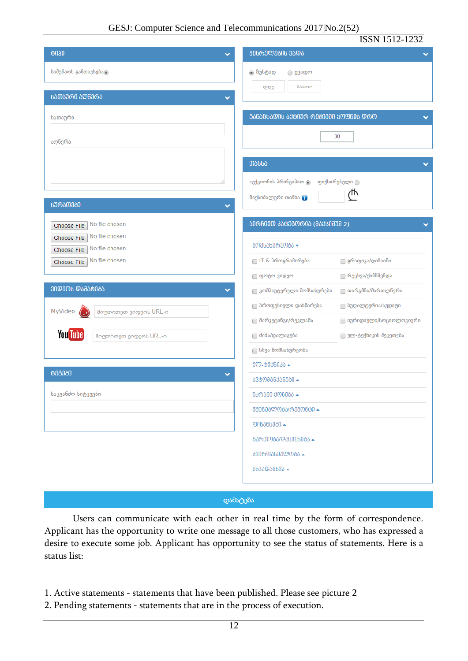|                                                                | ISSN 1512-1232                                       |
|----------------------------------------------------------------|------------------------------------------------------|
| 0030<br>$\checkmark$                                           | ᲨᲔᲡᲠᲣᲚᲔᲑᲘᲡ ᲕᲐᲓᲐ                                      |
| სამუშაოს განთავსებატ                                           | ⊚ ზუსტად<br>⊝ უვადო<br>საათი<br>დღე                  |
| ᲡᲐᲗᲐᲣᲠᲘ ᲐᲦᲜᲔᲠᲐ<br>$\checkmark$                                 |                                                      |
| სათაური                                                        | <b>ᲑᲐᲜᲐᲪᲮᲐᲓᲘᲡ ᲐᲥᲢᲘᲣᲠ ᲠᲔᲟᲘᲛᲨᲘ ᲧᲝᲤᲜᲘᲡ ᲓᲠᲝ</b>          |
| აღწერა                                                         | 30                                                   |
|                                                                | ᲗᲐᲜᲮᲐ                                                |
|                                                                | აუქციონის პრინციპით @<br>ფიქსირებული $\bigcirc$      |
| <b>ᲡᲣᲠᲐᲗᲔᲑᲘ</b><br>v                                           | ጦ<br>მაქსიმალური თანხა                               |
| No file chosen<br>Choose File<br>No file chosen<br>Choose File | ᲐᲘᲠᲩᲘᲔᲗ ᲙᲐᲢᲔᲒᲝᲠᲘᲐ (ᲛᲐᲥᲡᲘᲛᲣᲛ 2)                       |
| No file chosen<br>Choose File                                  | ᲛᲝᲛᲡᲐᲮᲣᲠᲔᲝᲑᲐ <del>-</del>                            |
| No file chosen<br>Choose File                                  | □ IT & პროგრამირება<br>⊟ გრაფიკა/დიზაინი             |
|                                                                | ∏ რეცხვა/ქიმწმენდა<br>_ ფოტო-ვიდეო                   |
| ᲕᲘᲓᲔᲝᲡ ᲓᲐᲛᲐᲢᲔᲑᲐ<br>▽                                           | ■ კომპიუტერული მომსახურება<br>⊜ თარგმნა/მართლწერა    |
| MyVideo<br>მიუთითეთ ვიდეოს URL-ი                               | <b>■ პროფესიული დახმარება</b><br>■ ბუღალტერია/აუდიტი |
|                                                                | ■ მარკეტინგი/რეკლამა<br>∩ იურიდიული/სოციოლოგიური     |
| <b>You Tube</b><br>მიუთითეთ ვიდეოს URL-ი                       | doda/დალაგება<br>■ ელ-ტექნიკის შეკეთება              |
|                                                                | <b>∏ სხვა მომსახურეობა</b>                           |
| 000000                                                         | JᲚ-0006030 ▲                                         |
|                                                                | ᲐᲕᲢᲝᲛᲐᲜᲥᲐᲜᲔᲑᲘ <del>-</del>                           |
| საკვანძო სიტყვები                                              | ᲣᲫᲠᲐᲕᲘ ᲥᲝᲜᲔᲑᲐ ▲                                      |
|                                                                |                                                      |
|                                                                | <b>906060000-</b>                                    |
|                                                                | <b>ᲒᲐᲠᲗᲝᲑᲐ/ᲓᲐᲡᲕᲔᲜᲔᲑᲐ ▲</b>                           |
|                                                                | <b>ᲫᲕᲘᲠᲤᲐᲡᲔᲣᲚᲝᲑᲐ ▲</b>                               |
|                                                                | <b>PP39@9RP39</b>                                    |
|                                                                |                                                      |

#### დამატება

Users can communicate with each other in real time by the form of correspondence. Applicant has the opportunity to write one message to all those customers, who has expressed a desire to execute some job. Applicant has opportunity to see the status of statements. Here is a status list:

- 1. Active statements statements that have been published. Please see picture 2
- 2. Pending statements statements that are in the process of execution.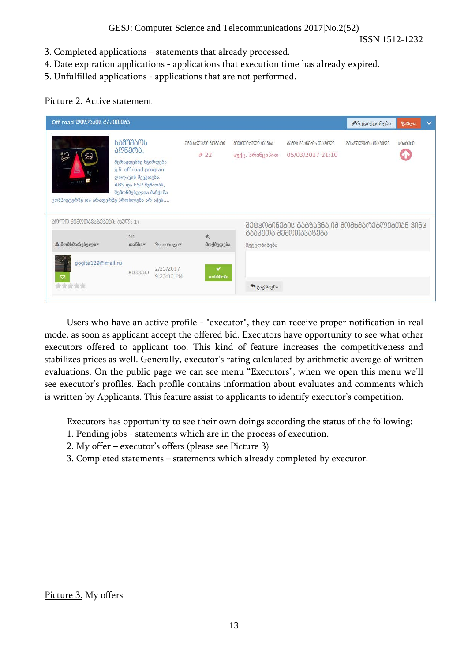ISSN 1512-1232

- 3. Completed applications statements that already processed.
- 4. Date expiration applications applications that execution time has already expired.
- 5. Unfulfilled applications applications that are not performed.

## Picture 2. Active statement

| Off-road ᲓᲘᲚᲐᲙᲘᲡ ᲒᲐᲙᲔᲗᲔᲑᲐ                              |                                                                                                                                                |                         |                          |                                     |                                                 | <b>♪</b> რედაქტირება | წაშლა          | $\checkmark$ |
|--------------------------------------------------------|------------------------------------------------------------------------------------------------------------------------------------------------|-------------------------|--------------------------|-------------------------------------|-------------------------------------------------|----------------------|----------------|--------------|
| PASS AREAS<br>კომპიუტერზე და არაფერზე პრობლემა არ აქვს | <b>ᲡᲐᲛᲣᲨᲐᲝᲡ</b><br>ᲐᲦᲬᲔᲠᲐ:<br>მერსედესზე მჭირდება<br>g.6. off-road program<br>ღილაკის შეკეთება.<br>ABS და ESP მუშაობს,<br>შემონმებულია მანქანა |                         | ᲣᲜᲘᲙᲐᲚᲣᲠᲘ ᲜᲝᲛᲔᲠᲘ<br># 22 | anmoma&amn mobba<br>აუქც. პრინციპით | <b>ᲒᲐᲛᲝᲥᲕᲔᲧᲜᲔᲑᲘᲡ ᲗᲐᲠᲘᲦᲘ</b><br>05/03/2017 21:10 | ᲨᲔᲡᲠᲣᲚᲔᲑᲘᲡ ᲗᲐᲠᲘᲦᲘ    | <b>6000000</b> |              |
| ᲑᲝᲚᲝ ᲨᲔᲛᲝᲗᲐᲕᲐᲖᲔᲑᲔᲑᲘ: (ᲡᲣᲚ: 1)                          |                                                                                                                                                |                         |                          |                                     | ᲨᲔᲢᲧᲝᲑᲘᲜᲔᲑᲘᲡ ᲒᲐᲒᲖᲐᲕᲜᲐ ᲘᲛ ᲛᲝᲛᲮᲛᲐᲠᲔᲑᲚᲔᲑᲗᲐᲜ ᲕᲘᲜᲪ   |                      |                |              |
| ≗ მომხმარებელი≈                                        | [6]<br>$000000*$                                                                                                                               | ©თარიღი♥                | 夭<br>მოქმედება           | შეტყობინება                         | ᲒᲐᲐᲙᲔᲗᲐ ᲨᲔᲛᲝᲗᲐᲕᲐᲖᲔᲑᲐ                            |                      |                |              |
| gogita129@mail.ru<br>⊠<br>食食食食食                        | 80,0000                                                                                                                                        | 2/25/2017<br>9:23:13 PM | v<br>თანხმობა            | ₩ გაგზავნა                          |                                                 |                      |                |              |

Users who have an active profile - "executor", they can receive proper notification in real mode, as soon as applicant accept the offered bid. Executors have opportunity to see what other executors offered to applicant too. This kind of feature increases the competitiveness and stabilizes prices as well. Generally, executor's rating calculated by arithmetic average of written evaluations. On the public page we can see menu "Executors", when we open this menu we'll see executor's profiles. Each profile contains information about evaluates and comments which is written by Applicants. This feature assist to applicants to identify executor's competition.

Executors has opportunity to see their own doings according the status of the following:

- 1. Pending jobs statements which are in the process of execution.
- 2. My offer executor's offers (please see Picture 3)
- 3. Completed statements statements which already completed by executor.

## Picture 3. My offers